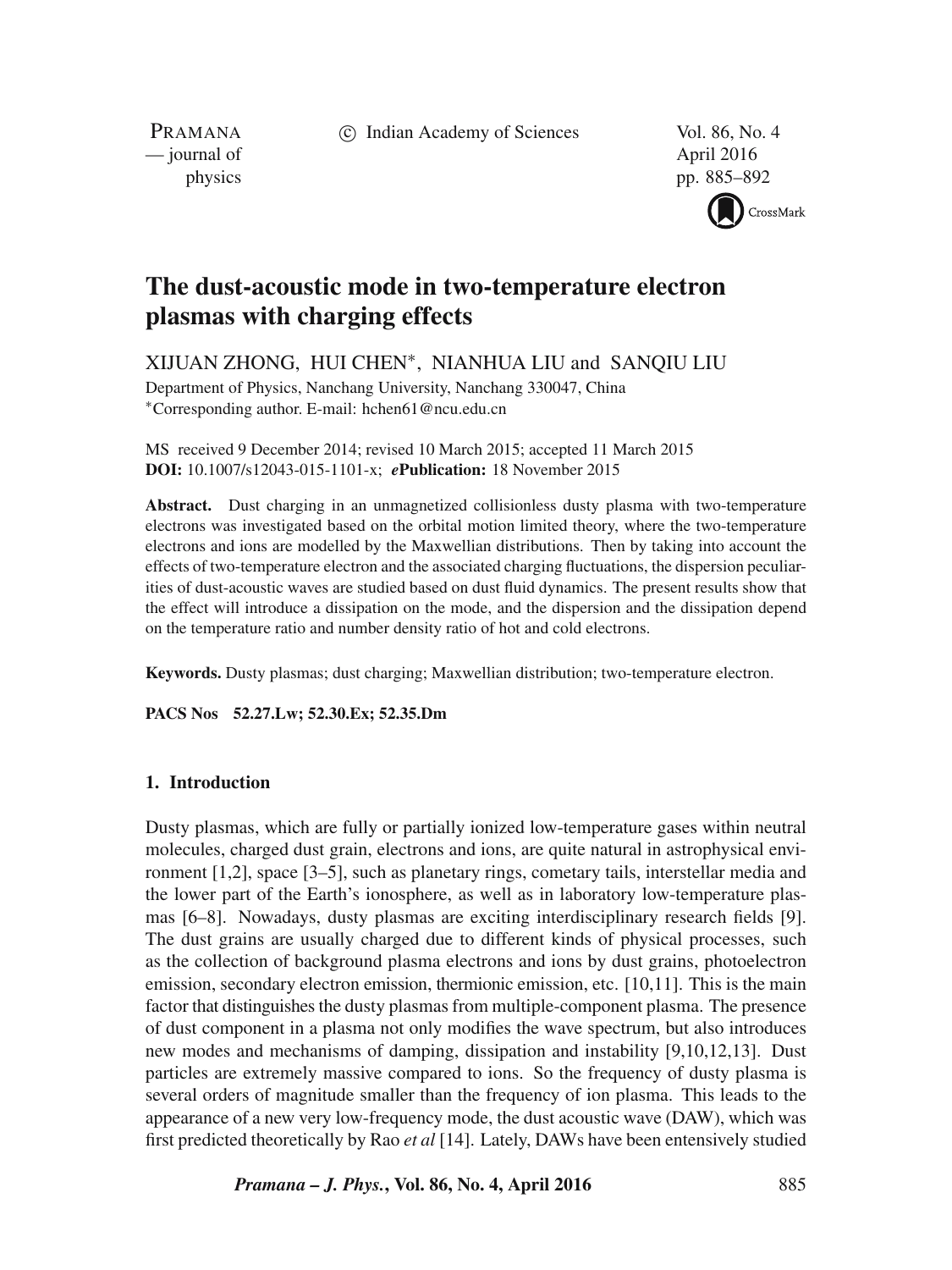c Indian Academy of Sciences Vol. 86, No. 4

PRAMANA — journal of April 2016

physics pp. 885–892



# **The dust-acoustic mode in two-temperature electron plasmas with charging effects**

XIJUAN ZHONG, HUI CHEN∗, NIANHUA LIU and SANQIU LIU

Department of Physics, Nanchang University, Nanchang 330047, China ∗Corresponding author. E-mail: hchen61@ncu.edu.cn

MS received 9 December 2014; revised 10 March 2015; accepted 11 March 2015 **DOI:** 10.1007/s12043-015-1101-x; *e***Publication:** 18 November 2015

**Abstract.** Dust charging in an unmagnetized collisionless dusty plasma with two-temperature electrons was investigated based on the orbital motion limited theory, where the two-temperature electrons and ions are modelled by the Maxwellian distributions. Then by taking into account the effects of two-temperature electron and the associated charging fluctuations, the dispersion peculiarities of dust-acoustic waves are studied based on dust fluid dynamics. The present results show that the effect will introduce a dissipation on the mode, and the dispersion and the dissipation depend on the temperature ratio and number density ratio of hot and cold electrons.

**Keywords.** Dusty plasmas; dust charging; Maxwellian distribution; two-temperature electron.

**PACS Nos 52.27.Lw; 52.30.Ex; 52.35.Dm**

## **1. Introduction**

Dusty plasmas, which are fully or partially ionized low-temperature gases within neutral molecules, charged dust grain, electrons and ions, are quite natural in astrophysical environment [1,2], space [3–5], such as planetary rings, cometary tails, interstellar media and the lower part of the Earth's ionosphere, as well as in laboratory low-temperature plasmas [6–8]. Nowadays, dusty plasmas are exciting interdisciplinary research fields [9]. The dust grains are usually charged due to different kinds of physical processes, such as the collection of background plasma electrons and ions by dust grains, photoelectron emission, secondary electron emission, thermionic emission, etc. [10,11]. This is the main factor that distinguishes the dusty plasmas from multiple-component plasma. The presence of dust component in a plasma not only modifies the wave spectrum, but also introduces new modes and mechanisms of damping, dissipation and instability [9,10,12,13]. Dust particles are extremely massive compared to ions. So the frequency of dusty plasma is several orders of magnitude smaller than the frequency of ion plasma. This leads to the appearance of a new very low-frequency mode, the dust acoustic wave (DAW), which was first predicted theoretically by Rao *et al* [14]. Lately, DAWs have been entensively studied

*Pramana – J. Phys.***, Vol. 86, No. 4, April 2016** 885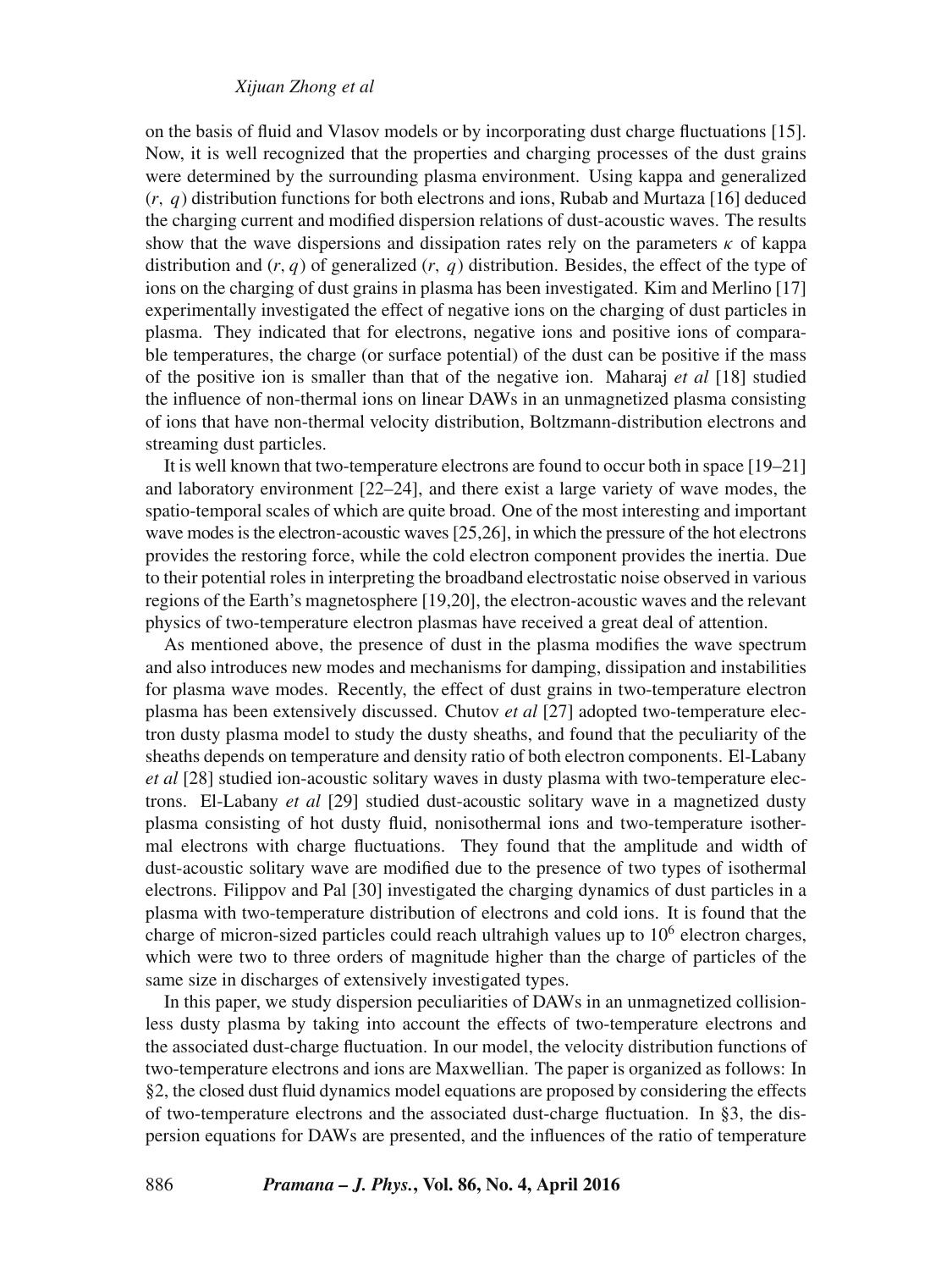## *Xijuan Zhong et al*

on the basis of fluid and Vlasov models or by incorporating dust charge fluctuations [15]. Now, it is well recognized that the properties and charging processes of the dust grains were determined by the surrounding plasma environment. Using kappa and generalized  $(r, q)$  distribution functions for both electrons and ions, Rubab and Murtaza [16] deduced the charging current and modified dispersion relations of dust-acoustic waves. The results show that the wave dispersions and dissipation rates rely on the parameters  $\kappa$  of kappa distribution and  $(r, q)$  of generalized  $(r, q)$  distribution. Besides, the effect of the type of ions on the charging of dust grains in plasma has been investigated. Kim and Merlino [17] experimentally investigated the effect of negative ions on the charging of dust particles in plasma. They indicated that for electrons, negative ions and positive ions of comparable temperatures, the charge (or surface potential) of the dust can be positive if the mass of the positive ion is smaller than that of the negative ion. Maharaj *et al* [18] studied the influence of non-thermal ions on linear DAWs in an unmagnetized plasma consisting of ions that have non-thermal velocity distribution, Boltzmann-distribution electrons and streaming dust particles.

It is well known that two-temperature electrons are found to occur both in space [19–21] and laboratory environment [22–24], and there exist a large variety of wave modes, the spatio-temporal scales of which are quite broad. One of the most interesting and important wave modes is the electron-acoustic waves [25,26], in which the pressure of the hot electrons provides the restoring force, while the cold electron component provides the inertia. Due to their potential roles in interpreting the broadband electrostatic noise observed in various regions of the Earth's magnetosphere [19,20], the electron-acoustic waves and the relevant physics of two-temperature electron plasmas have received a great deal of attention.

As mentioned above, the presence of dust in the plasma modifies the wave spectrum and also introduces new modes and mechanisms for damping, dissipation and instabilities for plasma wave modes. Recently, the effect of dust grains in two-temperature electron plasma has been extensively discussed. Chutov *et al* [27] adopted two-temperature electron dusty plasma model to study the dusty sheaths, and found that the peculiarity of the sheaths depends on temperature and density ratio of both electron components. El-Labany *et al* [28] studied ion-acoustic solitary waves in dusty plasma with two-temperature electrons. El-Labany *et al* [29] studied dust-acoustic solitary wave in a magnetized dusty plasma consisting of hot dusty fluid, nonisothermal ions and two-temperature isothermal electrons with charge fluctuations. They found that the amplitude and width of dust-acoustic solitary wave are modified due to the presence of two types of isothermal electrons. Filippov and Pal [30] investigated the charging dynamics of dust particles in a plasma with two-temperature distribution of electrons and cold ions. It is found that the charge of micron-sized particles could reach ultrahigh values up to  $10<sup>6</sup>$  electron charges, which were two to three orders of magnitude higher than the charge of particles of the same size in discharges of extensively investigated types.

In this paper, we study dispersion peculiarities of DAWs in an unmagnetized collisionless dusty plasma by taking into account the effects of two-temperature electrons and the associated dust-charge fluctuation. In our model, the velocity distribution functions of two-temperature electrons and ions are Maxwellian. The paper is organized as follows: In §2, the closed dust fluid dynamics model equations are proposed by considering the effects of two-temperature electrons and the associated dust-charge fluctuation. In §3, the dispersion equations for DAWs are presented, and the influences of the ratio of temperature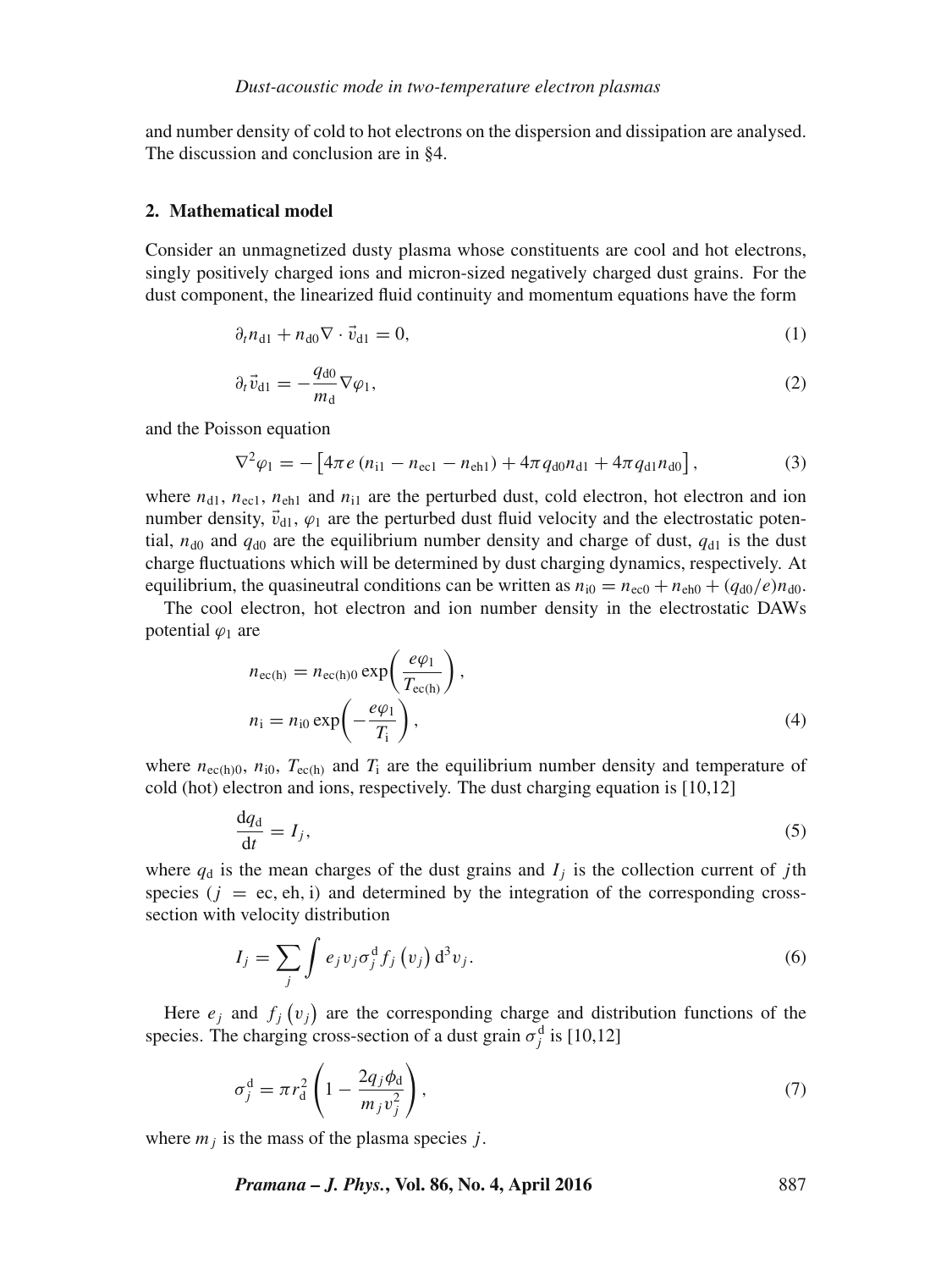and number density of cold to hot electrons on the dispersion and dissipation are analysed. The discussion and conclusion are in §4.

#### **2. Mathematical model**

Consider an unmagnetized dusty plasma whose constituents are cool and hot electrons, singly positively charged ions and micron-sized negatively charged dust grains. For the dust component, the linearized fluid continuity and momentum equations have the form

$$
\partial_t n_{d1} + n_{d0} \nabla \cdot \vec{v}_{d1} = 0,\tag{1}
$$

$$
\partial_t \vec{v}_{d1} = -\frac{q_{d0}}{m_d} \nabla \varphi_1,\tag{2}
$$

and the Poisson equation

$$
\nabla^2 \varphi_1 = -\left[4\pi e \left(n_{i1} - n_{\text{ec1}} - n_{\text{eh1}}\right) + 4\pi q_{\text{d}0} n_{\text{d}1} + 4\pi q_{\text{d}1} n_{\text{d}0}\right],\tag{3}
$$

where  $n_{d1}$ ,  $n_{ecl}$ ,  $n_{eh1}$  and  $n_{i1}$  are the perturbed dust, cold electron, hot electron and ion number density,  $\vec{v}_{d1}$ ,  $\varphi_1$  are the perturbed dust fluid velocity and the electrostatic potential,  $n_{d0}$  and  $q_{d0}$  are the equilibrium number density and charge of dust,  $q_{d1}$  is the dust charge fluctuations which will be determined by dust charging dynamics, respectively. At equilibrium, the quasineutral conditions can be written as  $n_{i0} = n_{e0} + n_{eh0} + (q_{d0}/e)n_{d0}$ .

The cool electron, hot electron and ion number density in the electrostatic DAWs potential  $\varphi_1$  are

$$
n_{ec(h)} = n_{ec(h)0} \exp\left(\frac{e\varphi_1}{T_{ec(h)}}\right),
$$
  
\n
$$
n_i = n_{i0} \exp\left(-\frac{e\varphi_1}{T_i}\right),
$$
\n(4)

where  $n_{\rm ec(h)0}$ ,  $n_{\rm i0}$ ,  $T_{\rm ec(h)}$  and  $T_{\rm i}$  are the equilibrium number density and temperature of cold (hot) electron and ions, respectively. The dust charging equation is [10,12]

$$
\frac{\mathrm{d}q_{\mathrm{d}}}{\mathrm{d}t} = I_j,\tag{5}
$$

where  $q_d$  is the mean charges of the dust grains and  $I_i$  is the collection current of *j*th species ( $j = ec, eh, i$ ) and determined by the integration of the corresponding crosssection with velocity distribution

$$
I_j = \sum_j \int e_j v_j \sigma_j^d f_j(v_j) d^3 v_j.
$$
 (6)

Here  $e_j$  and  $f_j(v_j)$  are the corresponding charge and distribution functions of the species. The charging cross-section of a dust grain  $\sigma_j^d$  is [10,12]

$$
\sigma_j^d = \pi r_d^2 \left( 1 - \frac{2q_j \phi_d}{m_j v_j^2} \right),\tag{7}
$$

where  $m_i$  is the mass of the plasma species j.

*Pramana – J. Phys.***, Vol. 86, No. 4, April 2016** 887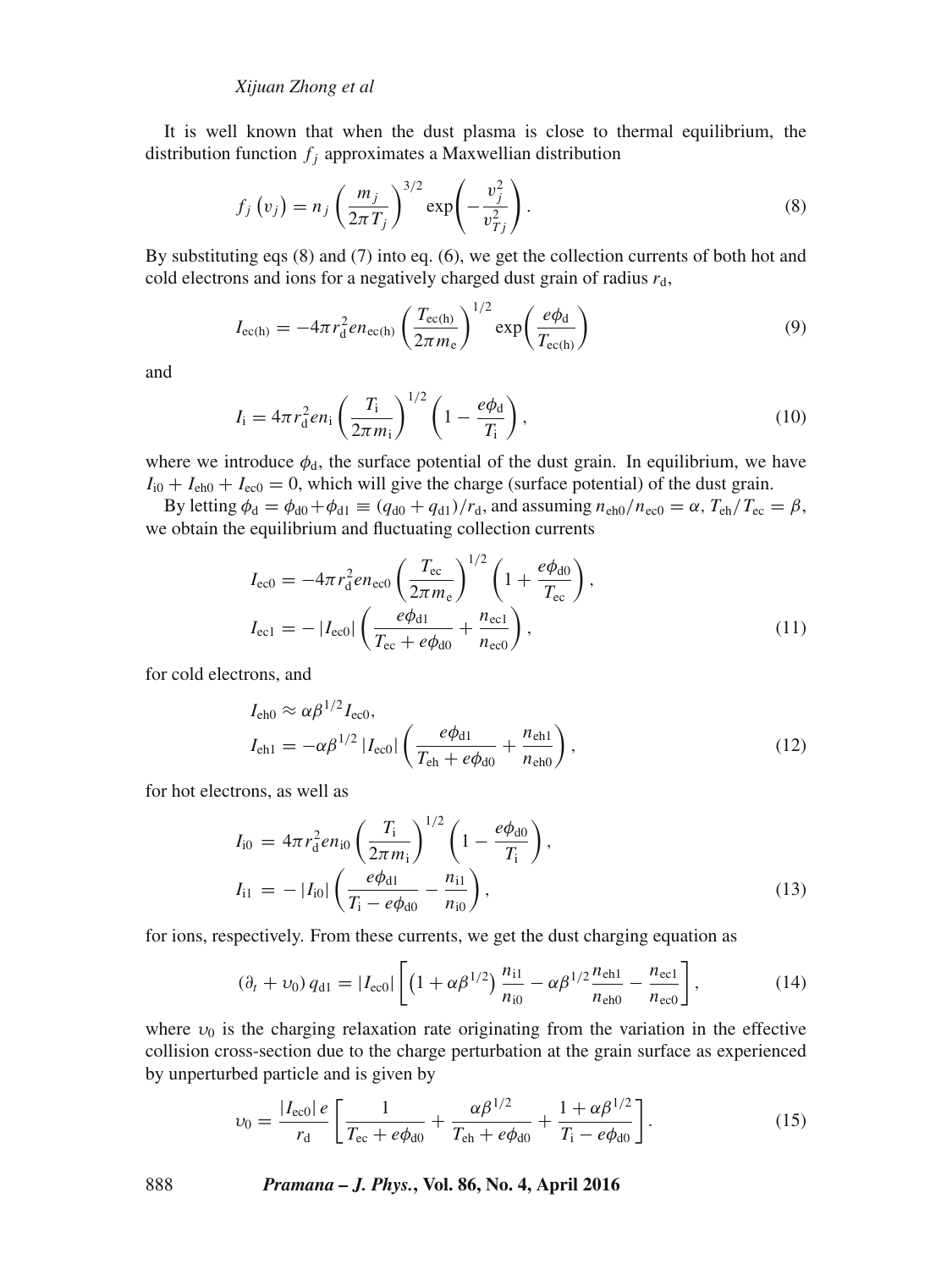## *Xijuan Zhong et al*

It is well known that when the dust plasma is close to thermal equilibrium, the distribution function  $f_i$  approximates a Maxwellian distribution

$$
f_j(v_j) = n_j \left(\frac{m_j}{2\pi T_j}\right)^{3/2} \exp\left(-\frac{v_j^2}{v_{Tj}^2}\right).
$$
\n(8)

By substituting eqs (8) and (7) into eq. (6), we get the collection currents of both hot and cold electrons and ions for a negatively charged dust grain of radius  $r_d$ ,

$$
I_{\rm ec(h)} = -4\pi r_{\rm d}^2 e n_{\rm ec(h)} \left(\frac{T_{\rm ec(h)}}{2\pi m_{\rm e}}\right)^{1/2} \exp\left(\frac{e\phi_{\rm d}}{T_{\rm ec(h)}}\right) \tag{9}
$$

and

$$
I_{\rm i} = 4\pi r_{\rm d}^2 e n_{\rm i} \left(\frac{T_{\rm i}}{2\pi m_{\rm i}}\right)^{1/2} \left(1 - \frac{e\phi_{\rm d}}{T_{\rm i}}\right),\tag{10}
$$

where we introduce  $\phi_d$ , the surface potential of the dust grain. In equilibrium, we have  $I_{i0} + I_{\text{eh0}} + I_{\text{ec0}} = 0$ , which will give the charge (surface potential) of the dust grain.

By letting  $\phi_d = \phi_{d0} + \phi_{d1} \equiv (q_{d0} + q_{d1})/r_d$ , and assuming  $n_{eh0}/n_{ec0} = \alpha$ ,  $T_{eh}/T_{ec} = \beta$ , we obtain the equilibrium and fluctuating collection currents

$$
I_{\rm ec0} = -4\pi r_{\rm d}^2 e n_{\rm ec0} \left(\frac{T_{\rm ec}}{2\pi m_{\rm e}}\right)^{1/2} \left(1 + \frac{e\phi_{\rm d0}}{T_{\rm ec}}\right),
$$
  
\n
$$
I_{\rm ec1} = -|I_{\rm ec0}| \left(\frac{e\phi_{\rm d1}}{T_{\rm ec} + e\phi_{\rm d0}} + \frac{n_{\rm ec1}}{n_{\rm ec0}}\right),
$$
\n(11)

for cold electrons, and

$$
I_{\text{eh}0} \approx \alpha \beta^{1/2} I_{\text{ec}0},
$$
  
\n
$$
I_{\text{eh}1} = -\alpha \beta^{1/2} |I_{\text{ec}0}| \left( \frac{e\phi_{\text{d}1}}{T_{\text{eh}} + e\phi_{\text{d}0}} + \frac{n_{\text{eh}1}}{n_{\text{eh}0}} \right),
$$
\n(12)

for hot electrons, as well as

$$
I_{i0} = 4\pi r_d^2 e n_{i0} \left(\frac{T_i}{2\pi m_i}\right)^{1/2} \left(1 - \frac{e\phi_{d0}}{T_i}\right),
$$
  
\n
$$
I_{i1} = -|I_{i0}| \left(\frac{e\phi_{d1}}{T_i - e\phi_{d0}} - \frac{n_{i1}}{n_{i0}}\right),
$$
\n(13)

for ions, respectively. From these currents, we get the dust charging equation as

$$
(\partial_t + \nu_0) q_{d1} = |I_{ec0}| \left[ \left( 1 + \alpha \beta^{1/2} \right) \frac{n_{i1}}{n_{i0}} - \alpha \beta^{1/2} \frac{n_{eh1}}{n_{eh0}} - \frac{n_{ec1}}{n_{ec0}} \right],
$$
(14)

where  $v_0$  is the charging relaxation rate originating from the variation in the effective collision cross-section due to the charge perturbation at the grain surface as experienced by unperturbed particle and is given by

$$
\upsilon_0 = \frac{|I_{\text{ecl}}| \, e}{r_{\text{d}}} \left[ \frac{1}{T_{\text{ec}} + e\phi_{\text{d0}}} + \frac{\alpha \beta^{1/2}}{T_{\text{eh}} + e\phi_{\text{d0}}} + \frac{1 + \alpha \beta^{1/2}}{T_{\text{i}} - e\phi_{\text{d0}}} \right]. \tag{15}
$$

888 *Pramana – J. Phys.***, Vol. 86, No. 4, April 2016**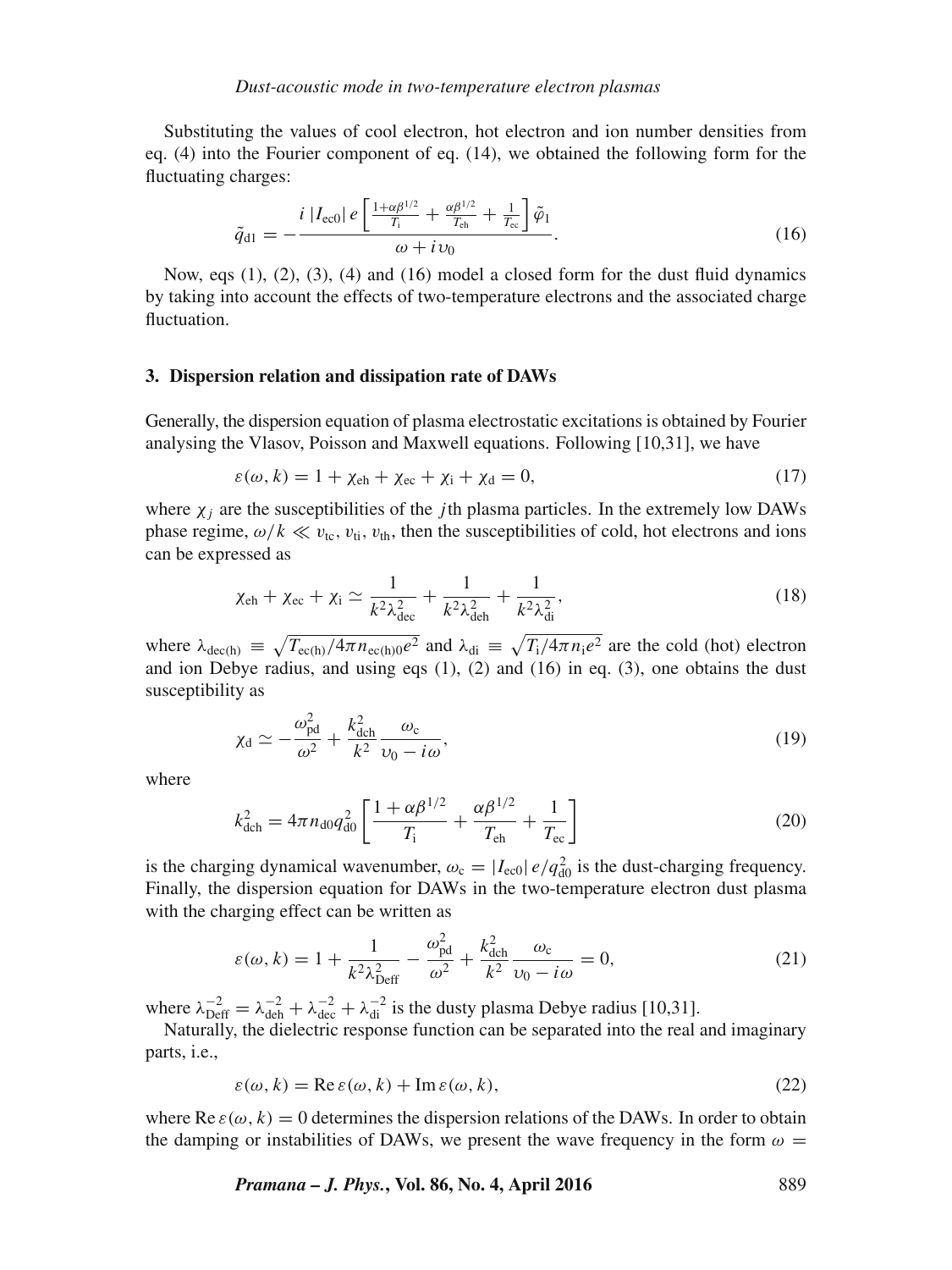### *Dust-acoustic mode in two-temperature electron plasmas*

Substituting the values of cool electron, hot electron and ion number densities from eq. (4) into the Fourier component of eq. (14), we obtained the following form for the fluctuating charges:

$$
\tilde{q}_{d1} = -\frac{i|I_{\text{ec0}}|e\left[\frac{1+\alpha\beta^{1/2}}{T_{\text{i}}} + \frac{\alpha\beta^{1/2}}{T_{\text{eh}}} + \frac{1}{T_{\text{ec}}}\right]\tilde{\varphi}_1}{\omega + i\nu_0}.
$$
\n(16)

Now, eqs  $(1)$ ,  $(2)$ ,  $(3)$ ,  $(4)$  and  $(16)$  model a closed form for the dust fluid dynamics by taking into account the effects of two-temperature electrons and the associated charge fluctuation.

### **3. Dispersion relation and dissipation rate of DAWs**

Generally, the dispersion equation of plasma electrostatic excitations is obtained by Fourier analysing the Vlasov, Poisson and Maxwell equations. Following [10,31], we have

$$
\varepsilon(\omega, k) = 1 + \chi_{\text{eh}} + \chi_{\text{ec}} + \chi_{\text{i}} + \chi_{\text{d}} = 0,\tag{17}
$$

where  $\chi_i$  are the susceptibilities of the *j*th plasma particles. In the extremely low DAWs phase regime,  $\omega/k \ll v_{\text{tc}}$ ,  $v_{\text{ti}}$ ,  $v_{\text{th}}$ , then the susceptibilities of cold, hot electrons and ions can be expressed as

$$
\chi_{\rm ch} + \chi_{\rm ec} + \chi_{\rm i} \simeq \frac{1}{k^2 \lambda_{\rm dec}^2} + \frac{1}{k^2 \lambda_{\rm deh}^2} + \frac{1}{k^2 \lambda_{\rm di}^2},\tag{18}
$$

where  $\lambda_{\text{dec(h)}} \equiv \sqrt{T_{\text{ec(h)}}/4\pi n_{\text{ec(h)}} 0e^2}$  and  $\lambda_{\text{di}} \equiv \sqrt{T_i/4\pi n_i e^2}$  are the cold (hot) electron and ion Debye radius, and using eqs  $(1)$ ,  $(2)$  and  $(16)$  in eq.  $(3)$ , one obtains the dust susceptibility as

$$
\chi_{\rm d} \simeq -\frac{\omega_{\rm pd}^2}{\omega^2} + \frac{k_{\rm dch}^2}{k^2} \frac{\omega_{\rm c}}{\upsilon_0 - i\omega},\tag{19}
$$

where

$$
k_{\text{dch}}^2 = 4\pi n_{\text{d}0} q_{\text{d}0}^2 \left[ \frac{1 + \alpha \beta^{1/2}}{T_{\text{i}}} + \frac{\alpha \beta^{1/2}}{T_{\text{eh}}} + \frac{1}{T_{\text{ec}}} \right]
$$
(20)

is the charging dynamical wavenumber,  $\omega_c = |I_{\text{ec0}}| e / q_{\text{d0}}^2$  is the dust-charging frequency. Finally, the dispersion equation for DAWs in the two-temperature electron dust plasma with the charging effect can be written as

$$
\varepsilon(\omega, k) = 1 + \frac{1}{k^2 \lambda_{\text{Def}}^2} - \frac{\omega_{\text{pd}}^2}{\omega^2} + \frac{k_{\text{dch}}^2}{k^2} \frac{\omega_{\text{c}}}{\nu_0 - i\omega} = 0,\tag{21}
$$

where  $\lambda_{\text{Def}}^{-2} = \lambda_{\text{deh}}^{-2} + \lambda_{\text{dec}}^{-2} + \lambda_{\text{di}}^{-2}$  is the dusty plasma Debye radius [10,31].

Naturally, the dielectric response function can be separated into the real and imaginary parts, i.e.,

$$
\varepsilon(\omega, k) = \text{Re}\,\varepsilon(\omega, k) + \text{Im}\,\varepsilon(\omega, k),\tag{22}
$$

where Re  $\varepsilon(\omega, k) = 0$  determines the dispersion relations of the DAWs. In order to obtain the damping or instabilities of DAWs, we present the wave frequency in the form  $\omega =$ 

*Pramana – J. Phys.***, Vol. 86, No. 4, April 2016** 889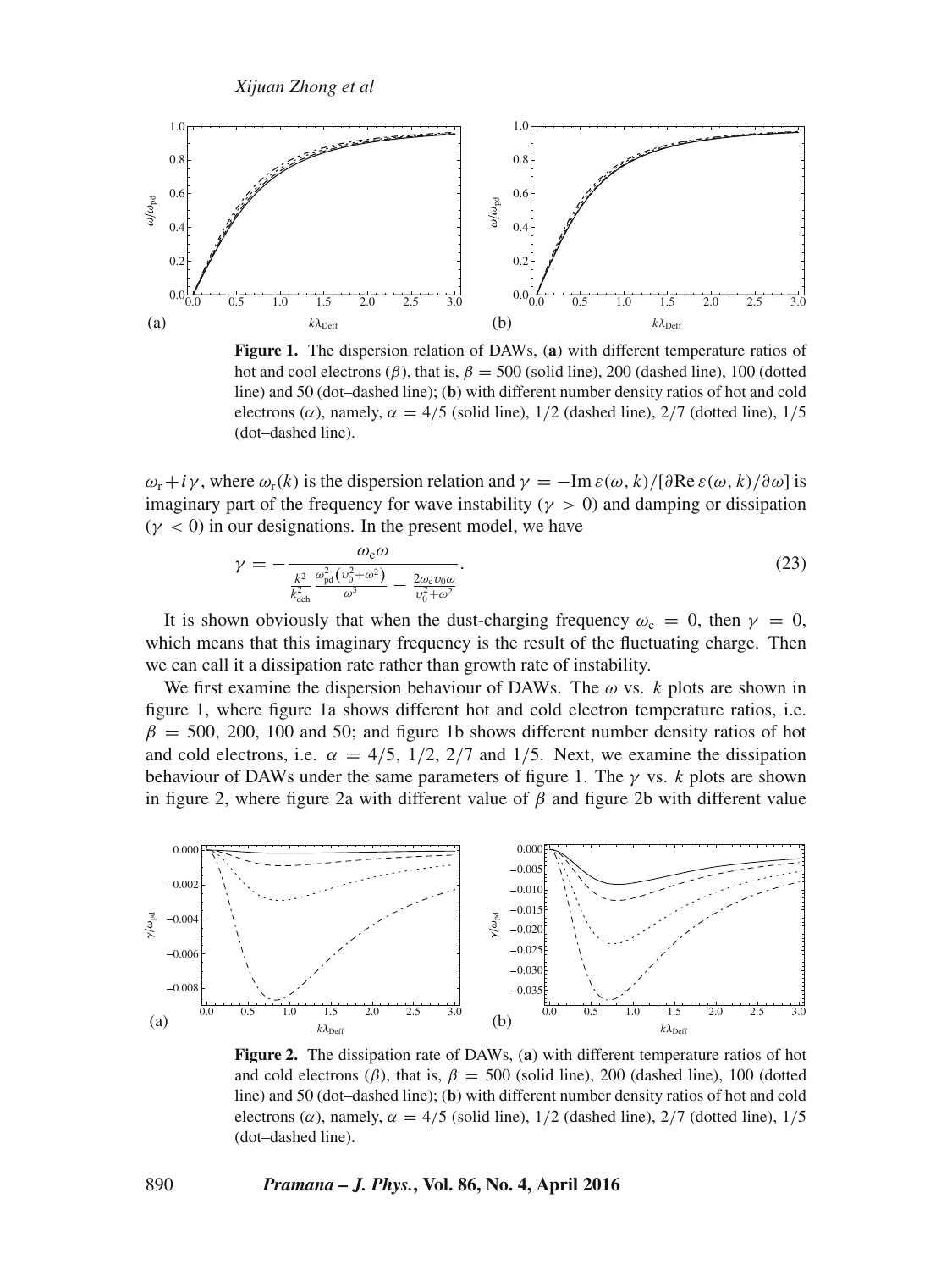

**Figure 1.** The dispersion relation of DAWs, (**a**) with different temperature ratios of hot and cool electrons ( $\beta$ ), that is,  $\beta = 500$  (solid line), 200 (dashed line), 100 (dotted line) and 50 (dot–dashed line); (**b**) with different number density ratios of hot and cold electrons ( $\alpha$ ), namely,  $\alpha = 4/5$  (solid line), 1/2 (dashed line), 2/7 (dotted line), 1/5 (dot–dashed line).

 $\omega_r + i\gamma$ , where  $\omega_r(k)$  is the dispersion relation and  $\gamma = -\text{Im}\,\varepsilon(\omega, k)/[\partial \text{Re}\,\varepsilon(\omega, k)/\partial \omega]$  is imaginary part of the frequency for wave instability ( $\gamma > 0$ ) and damping or dissipation  $(y < 0)$  in our designations. In the present model, we have

$$
\gamma = -\frac{\omega_{\rm c}\omega}{\frac{k^2}{k_{\rm dch}^2}\frac{\omega_{\rm pd}^2(v_0^2 + \omega^2)}{\omega^3} - \frac{2\omega_{\rm c}v_0\omega}{v_0^2 + \omega^2}}.
$$
\n(23)

It is shown obviously that when the dust-charging frequency  $\omega_c = 0$ , then  $\gamma = 0$ , which means that this imaginary frequency is the result of the fluctuating charge. Then we can call it a dissipation rate rather than growth rate of instability.

We first examine the dispersion behaviour of DAWs. The  $\omega$  vs. k plots are shown in figure 1, where figure 1a shows different hot and cold electron temperature ratios, i.e.  $\beta = 500, 200, 100$  and 50; and figure 1b shows different number density ratios of hot and cold electrons, i.e.  $\alpha = 4/5$ ,  $1/2$ ,  $2/7$  and  $1/5$ . Next, we examine the dissipation behaviour of DAWs under the same parameters of figure 1. The  $\gamma$  vs. k plots are shown in figure 2, where figure 2a with different value of  $\beta$  and figure 2b with different value



**Figure 2.** The dissipation rate of DAWs, (**a**) with different temperature ratios of hot and cold electrons ( $\beta$ ), that is,  $\beta = 500$  (solid line), 200 (dashed line), 100 (dotted line) and 50 (dot–dashed line); (**b**) with different number density ratios of hot and cold electrons ( $\alpha$ ), namely,  $\alpha = 4/5$  (solid line), 1/2 (dashed line), 2/7 (dotted line), 1/5 (dot–dashed line).

#### 890 *Pramana – J. Phys.***, Vol. 86, No. 4, April 2016**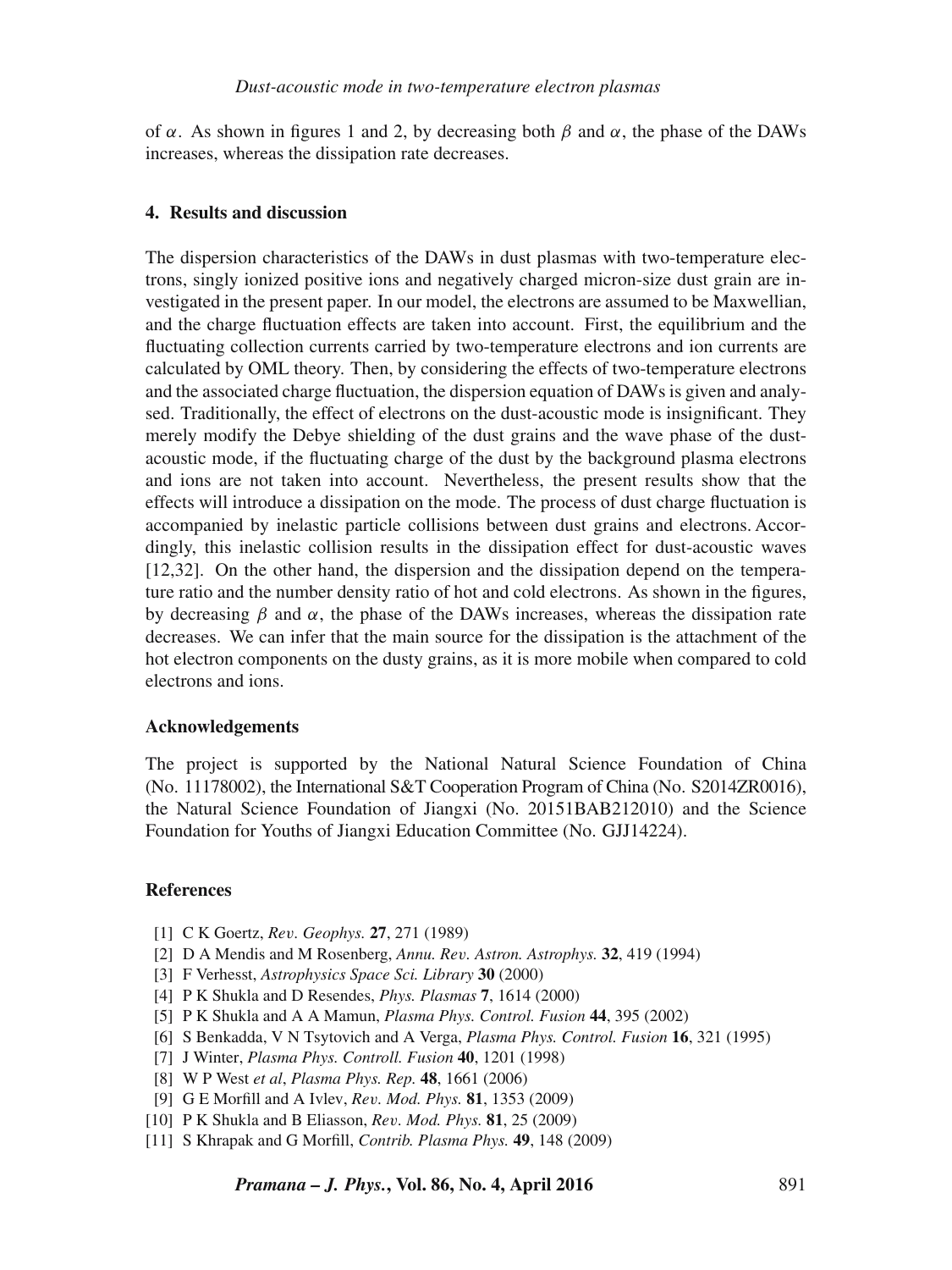of  $\alpha$ . As shown in figures 1 and 2, by decreasing both  $\beta$  and  $\alpha$ , the phase of the DAWs increases, whereas the dissipation rate decreases.

## **4. Results and discussion**

The dispersion characteristics of the DAWs in dust plasmas with two-temperature electrons, singly ionized positive ions and negatively charged micron-size dust grain are investigated in the present paper. In our model, the electrons are assumed to be Maxwellian, and the charge fluctuation effects are taken into account. First, the equilibrium and the fluctuating collection currents carried by two-temperature electrons and ion currents are calculated by OML theory. Then, by considering the effects of two-temperature electrons and the associated charge fluctuation, the dispersion equation of DAWs is given and analysed. Traditionally, the effect of electrons on the dust-acoustic mode is insignificant. They merely modify the Debye shielding of the dust grains and the wave phase of the dustacoustic mode, if the fluctuating charge of the dust by the background plasma electrons and ions are not taken into account. Nevertheless, the present results show that the effects will introduce a dissipation on the mode. The process of dust charge fluctuation is accompanied by inelastic particle collisions between dust grains and electrons. Accordingly, this inelastic collision results in the dissipation effect for dust-acoustic waves [12,32]. On the other hand, the dispersion and the dissipation depend on the temperature ratio and the number density ratio of hot and cold electrons. As shown in the figures, by decreasing  $\beta$  and  $\alpha$ , the phase of the DAWs increases, whereas the dissipation rate decreases. We can infer that the main source for the dissipation is the attachment of the hot electron components on the dusty grains, as it is more mobile when compared to cold electrons and ions.

#### **Acknowledgements**

The project is supported by the National Natural Science Foundation of China (No. 11178002), the International S&T Cooperation Program of China (No. S2014ZR0016), the Natural Science Foundation of Jiangxi (No. 20151BAB212010) and the Science Foundation for Youths of Jiangxi Education Committee (No. GJJ14224).

### **References**

- [1] C K Goertz, *Re*v*. Geophys.* **27**, 271 (1989)
- [2] D A Mendis and M Rosenberg, *Annu. Re*v*. Astron. Astrophys.* **32**, 419 (1994)
- [3] F Verhesst, *Astrophysics Space Sci. Library* **30** (2000)
- [4] P K Shukla and D Resendes, *Phys. Plasmas* **7**, 1614 (2000)
- [5] P K Shukla and A A Mamun, *Plasma Phys. Control. Fusion* **44**, 395 (2002)
- [6] S Benkadda, V N Tsytovich and A Verga, *Plasma Phys. Control. Fusion* **16**, 321 (1995)
- [7] J Winter, *Plasma Phys. Controll. Fusion* **40**, 1201 (1998)
- [8] W P West *et al*, *Plasma Phys. Rep.* **48**, 1661 (2006)
- [9] G E Morfill and A Ivlev, *Re*v*. Mod. Phys.* **81**, 1353 (2009)
- [10] P K Shukla and B Eliasson, *Re*v*. Mod. Phys.* **81**, 25 (2009)
- [11] S Khrapak and G Morfill, *Contrib. Plasma Phys.* **49**, 148 (2009)